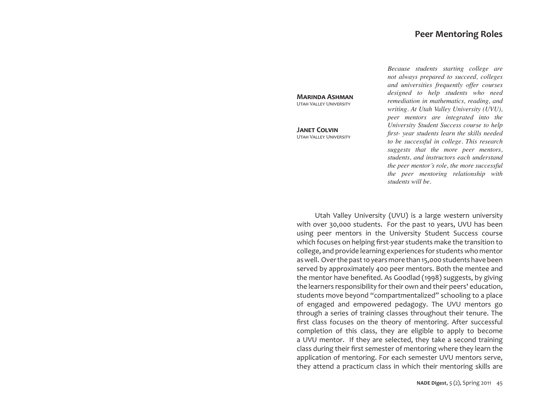# **Peer Mentoring Roles**

**Marinda Ashman** Utah Valley University

**Janet Colvin** Utah Valley University *Because students starting college are not always prepared to succeed, colleges and universities frequently offer courses designed to help students who need remediation in mathematics, reading, and writing. At Utah Valley University (UVU), peer mentors are integrated into the University Student Success course to help first- year students learn the skills needed to be successful in college. This research suggests that the more peer mentors, students, and instructors each understand the peer mentor's role, the more successful the peer mentoring relationship with students will be.*

Utah Valley University (UVU) is a large western university with over 30,000 students. For the past 10 years, UVU has been using peer mentors in the University Student Success course which focuses on helping first-year students make the transition to college, and provide learning experiences for students who mentor as well. Over the past 10 years more than 15,000 students have been served by approximately 400 peer mentors. Both the mentee and the mentor have benefited. As Goodlad (1998) suggests, by giving the learners responsibility for their own and their peers' education, students move beyond "compartmentalized" schooling to a place of engaged and empowered pedagogy. The UVU mentors go through a series of training classes throughout their tenure. The first class focuses on the theory of mentoring. After successful completion of this class, they are eligible to apply to become a UVU mentor. If they are selected, they take a second training class during their first semester of mentoring where they learn the application of mentoring. For each semester UVU mentors serve, they attend a practicum class in which their mentoring skills are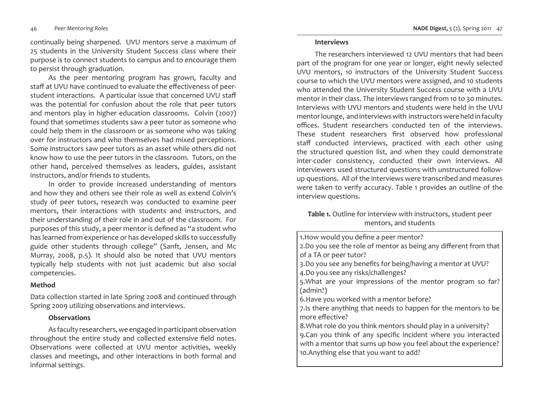#### *Peer Mentoring Roles*

continually being sharpened. UVU mentors serve a maximum of 25 students in the University Student Success class where their purpose is to connect students to campus and to encourage them to persist through graduation.

As the peer mentoring program has grown, faculty and staff at UVU have continued to evaluate the effectiveness of peerstudent interactions. A particular issue that concerned UVU staff was the potential for confusion about the role that peer tutors and mentors play in higher education classrooms. Colvin (2007) found that sometimes students saw a peer tutor as someone who could help them in the classroom or as someone who was taking over for instructors and who themselves had mixed perceptions. Some instructors saw peer tutors as an asset while others did not know how to use the peer tutors in the classroom. Tutors, on the other hand, perceived themselves as leaders, guides, assistant instructors, and/or friends to students.

In order to provide increased understanding of mentors and how they and others see their role as well as extend Colvin's study of peer tutors, research was conducted to examine peer mentors, their interactions with students and instructors, and their understanding of their role in and out of the classroom. For purposes of this study, a peer mentor is defined as "a student who has learned from experience or has developed skills to successfully guide other students through college" (Sanft, Jensen, and Mc Murray, 2008, p.5). It should also be noted that UVU mentors typically help students with not just academic but also social competencies.

### **Method**

Data collection started in late Spring 2008 and continued through Spring 2009 utilizing observations and interviews.

### **Observations**

As faculty researchers, we engaged in participant observation throughout the entire study and collected extensive field notes. Observations were collected at UVU mentor activities, weekly classes and meetings, and other interactions in both formal and informal settings.

### **Interviews**

The researchers interviewed 12 UVU mentors that had been part of the program for one year or longer, eight newly selected UVU mentors, 10 instructors of the University Student Success course to which the UVU mentors were assigned, and 10 students who attended the University Student Success course with a UVU mentor in their class. The interviews ranged from 10 to 30 minutes. Interviews with UVU mentors and students were held in the UVU mentor lounge, and interviews with instructors were held in faculty offices. Student researchers conducted ten of the interviews. These student researchers first observed how professional staff conducted interviews, practiced with each other using the structured question list, and when they could demonstrate inter-coder consistency, conducted their own interviews. All interviewers used structured questions with unstructured followup questions. All of the interviews were transcribed and measures were taken to verify accuracy. Table 1 provides an outline of the interview questions.

# **Table 1.** Outline for interview with instructors, student peer mentors, and students

| 1. How would you define a peer mentor?                                                                                                                                                                                                     |  |
|--------------------------------------------------------------------------------------------------------------------------------------------------------------------------------------------------------------------------------------------|--|
| 2.Do you see the role of mentor as being any different from that<br>of a TA or peer tutor?                                                                                                                                                 |  |
| 3.Do you see any benefits for being/having a mentor at UVU?<br>4.Do you see any risks/challenges?                                                                                                                                          |  |
| 5. What are your impressions of the mentor program so far?<br>(admin?)                                                                                                                                                                     |  |
| 6. Have you worked with a mentor before?                                                                                                                                                                                                   |  |
| 7.Is there anything that needs to happen for the mentors to be<br>more effective?                                                                                                                                                          |  |
| 8. What role do you think mentors should play in a university?<br>9.Can you think of any specific incident where you interacted<br>with a mentor that sums up how you feel about the experience?<br>10.Anything else that you want to add? |  |
|                                                                                                                                                                                                                                            |  |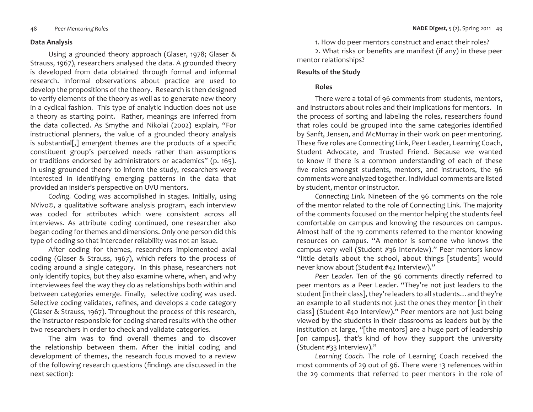### **Data Analysis**

Using a grounded theory approach (Glaser, 1978; Glaser & Strauss, 1967), researchers analysed the data. A grounded theory is developed from data obtained through formal and informal research. Informal observations about practice are used to develop the propositions of the theory. Research is then designed to verify elements of the theory as well as to generate new theory in a cyclical fashion. This type of analytic induction does not use a theory as starting point. Rather, meanings are inferred from the data collected. As Smythe and Nikolai (2002) explain, "For instructional planners, the value of a grounded theory analysis is substantial[,] emergent themes are the products of a specific constituent group's perceived needs rather than assumptions or traditions endorsed by administrators or academics" (p. 165). In using grounded theory to inform the study, researchers were interested in identifying emerging patterns in the data that provided an insider's perspective on UVU mentors.

*Coding.* Coding was accomplished in stages. Initially, using NVivo©, a qualitative software analysis program, each interview was coded for attributes which were consistent across all interviews. As attribute coding continued, one researcher also began coding for themes and dimensions. Only one person did this type of coding so that intercoder reliability was not an issue.

After coding for themes, researchers implemented axial coding (Glaser & Strauss, 1967), which refers to the process of coding around a single category. In this phase, researchers not only identify topics, but they also examine where, when, and why interviewees feel the way they do as relationships both within and between categories emerge. Finally, selective coding was used. Selective coding validates, refines, and develops a code category (Glaser & Strauss, 1967). Throughout the process of this research, the instructor responsible for coding shared results with the other two researchers in order to check and validate categories.

The aim was to find overall themes and to discover the relationship between them. After the initial coding and development of themes, the research focus moved to a review of the following research questions (findings are discussed in the next section):

1. How do peer mentors construct and enact their roles?

2. What risks or benefits are manifest (if any) in these peer mentor relationships?

### **Results of the Study**

# **Roles**

There were a total of 96 comments from students, mentors, and instructors about roles and their implications for mentors. In the process of sorting and labeling the roles, researchers found that roles could be grouped into the same categories identified by Sanft, Jensen, and McMurray in their work on peer mentoring. These five roles are Connecting Link, Peer Leader, Learning Coach, Student Advocate, and Trusted Friend. Because we wanted to know if there is a common understanding of each of these five roles amongst students, mentors, and instructors, the 96 comments were analyzed together. Individual comments are listed by student, mentor or instructor.

*Connecting Link.* Nineteen of the 96 comments on the role of the mentor related to the role of Connecting Link. The majority of the comments focused on the mentor helping the students feel comfortable on campus and knowing the resources on campus. Almost half of the 19 comments referred to the mentor knowing resources on campus. "A mentor is someone who knows the campus very well (Student #36 Interview)." Peer mentors know "little details about the school, about things [students] would never know about (Student #42 Interview)."

*Peer Leader.* Ten of the 96 comments directly referred to peer mentors as a Peer Leader. "They're not just leaders to the student [in their class], they're leaders to all students…and they're an example to all students not just the ones they mentor [in their class] (Student #40 Interview)." Peer mentors are not just being viewed by the students in their classrooms as leaders but by the institution at large, "[the mentors] are a huge part of leadership [on campus], that's kind of how they support the university (Student #33 Interview)."

*Learning Coach.* The role of Learning Coach received the most comments of 29 out of 96. There were 13 references within the 29 comments that referred to peer mentors in the role of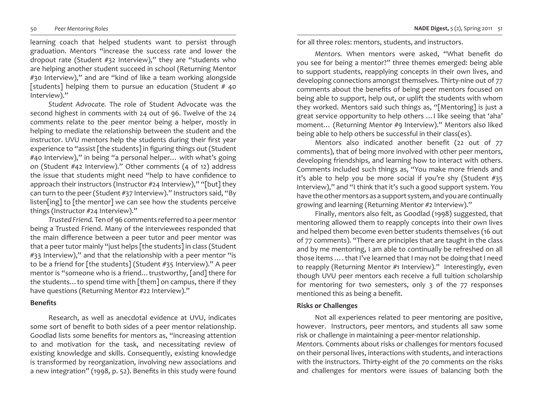learning coach that helped students want to persist through graduation. Mentors "increase the success rate and lower the dropout rate (Student #32 Interview)," they are "students who are helping another student succeed in school (Returning Mentor #30 Interview)," and are "kind of like a team working alongside [students] helping them to pursue an education (Student  $#$  40 Interview)."

*Student Advocate.* The role of Student Advocate was the second highest in comments with 24 out of 96. Twelve of the 24 comments relate to the peer mentor being a helper, mostly in helping to mediate the relationship between the student and the instructor. UVU mentors help the students during their first year experience to "assist [the students] in figuring things out (Student #40 Interview)," in being "a personal helper… with what's going on (Student #42 Interview)." Other comments (4 of 12) address the issue that students might need "help to have confidence to approach their instructors (Instructor #24 Interview)," "[but] they can turn to the peer (Student #37 Interview)." Instructors said, "By listen[ing] to [the mentor] we can see how the students perceive things (Instructor #24 Interview)."

*Trusted Friend.* Ten of 96 comments referred to a peer mentor being a Trusted Friend. Many of the interviewees responded that the main difference between a peer tutor and peer mentor was that a peer tutor mainly "just helps [the students] in class (Student #33 Interview)," and that the relationship with a peer mentor "is to be a friend for [the students] (Student #35 Interview)." A peer mentor is "someone who is a friend... trustworthy, [and] there for the students…to spend time with [them] on campus, there if they have questions (Returning Mentor #22 Interview)."

### **Benefits**

Research, as well as anecdotal evidence at UVU, indicates some sort of benefit to both sides of a peer mentor relationship. Goodlad lists some benefits for mentors as, "increasing attention to and motivation for the task, and necessitating review of existing knowledge and skills. Consequently, existing knowledge is transformed by reorganization, involving new associations and a new integration" (1998, p. 52). Benefits in this study were found

for all three roles: mentors, students, and instructors.

*Mentors.* When mentors were asked, "What benefit do you see for being a mentor?" three themes emerged: being able to support students, reapplying concepts in their own lives, and developing connections amongst themselves. Thirty-nine out of 77 comments about the benefits of being peer mentors focused on being able to support, help out, or uplift the students with whom they worked. Mentors said such things as, "[Mentoring] is just a great service opportunity to help others …I like seeing that 'aha' moment… (Returning Mentor #9 Interview)." Mentors also liked being able to help others be successful in their class(es).

Mentors also indicated another benefit (22 out of 77 comments), that of being more involved with other peer mentors, developing friendships, and learning how to interact with others. Comments included such things as, "You make more friends and it's able to help you be more social if you're shy (Student #35 Interview)," and "I think that it's such a good support system. You have the other mentors as a support system, and you are continually growing and learning (Returning Mentor #2 Interview)."

Finally, mentors also felt, as Goodlad (1998) suggested, that mentoring allowed them to reapply concepts into their own lives and helped them become even better students themselves (16 out of 77 comments). "There are principles that are taught in the class and by me mentoring, I am able to continually be refreshed on all those items …. that I've learned that I may not be doing that I need to reapply (Returning Mentor #1 Interview)." Interestingly, even though UVU peer mentors each receive a full tuition scholarship for mentoring for two semesters, only 3 of the 77 responses mentioned this as being a benefit.

# **Risks or Challenges**

Not all experiences related to peer mentoring are positive, however. Instructors, peer mentors, and students all saw some risk or challenge in maintaining a peer-mentor relationship. *Mentors.* Comments about risks or challenges for mentors focused on their personal lives, interactions with students, and interactions with the instructors. Thirty-eight of the 70 comments on the risks and challenges for mentors were issues of balancing both the